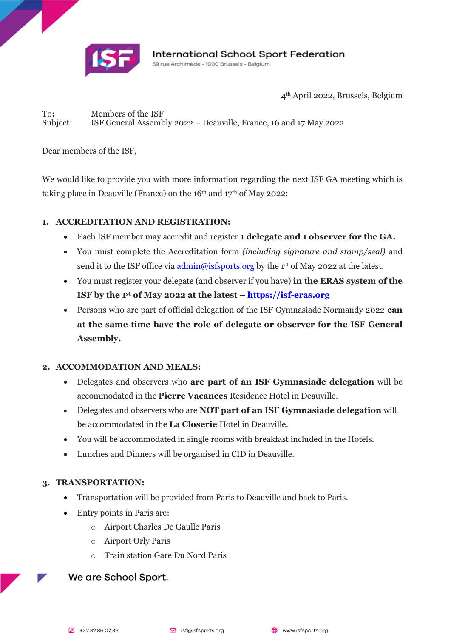

4th April 2022, Brussels, Belgium

To**:** Members of the ISF Subject: ISF General Assembly 2022 – Deauville, France, 16 and 17 May 2022

Dear members of the ISF,

We would like to provide you with more information regarding the next ISF GA meeting which is taking place in Deauville (France) on the 16<sup>th</sup> and 17<sup>th</sup> of May 2022:

### **1. ACCREDITATION AND REGISTRATION:**

- Each ISF member may accredit and register **1 delegate and 1 observer for the GA.**
- You must complete the Accreditation form *(including signature and stamp/seal)* and send it to the ISF office via <u>admin@isfsports.or</u>g by the 1st of May 2022 at the latest.
- You must register your delegate (and observer if you have) **in the ERAS system of the ISF by the 1 st of May 2022 at the latest – [https://isf-eras.org](https://isf-eras.org/)**
- Persons who are part of official delegation of the ISF Gymnasiade Normandy 2022 **can at the same time have the role of delegate or observer for the ISF General Assembly.**

#### **2. ACCOMMODATION AND MEALS:**

- Delegates and observers who **are part of an ISF Gymnasiade delegation** will be accommodated in the **Pierre Vacances** Residence Hotel in Deauville.
- Delegates and observers who are **NOT part of an ISF Gymnasiade delegation** will be accommodated in the **La Closerie** Hotel in Deauville.
- You will be accommodated in single rooms with breakfast included in the Hotels.
- Lunches and Dinners will be organised in CID in Deauville.

# **3. TRANSPORTATION:**

- Transportation will be provided from Paris to Deauville and back to Paris.
- Entry points in Paris are:
	- o Airport Charles De Gaulle Paris
	- o Airport Orly Paris
	- o Train station Gare Du Nord Paris

# We are School Sport.